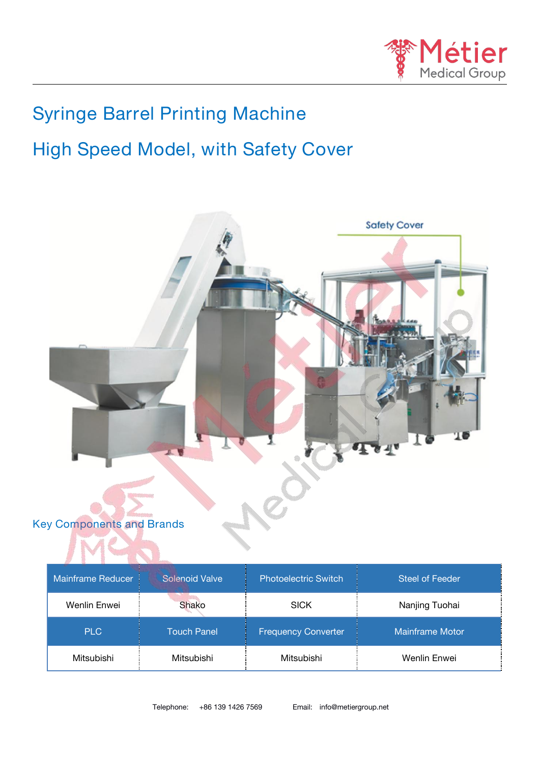

# **Syringe Barrel Printing Machine**

# **High Speed Model, with Safety Cover**